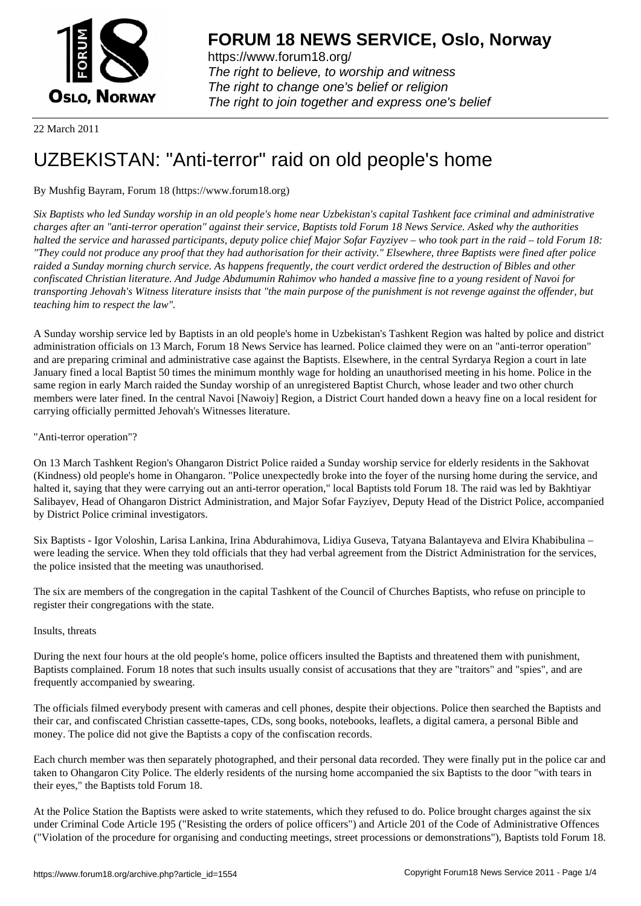

https://www.forum18.org/ The right to believe, to worship and witness The right to change one's belief or religion [The right to join together a](https://www.forum18.org/)nd express one's belief

22 March 2011

# [UZBEKISTAN:](https://www.forum18.org) "Anti-terror" raid on old people's home

# By Mushfig Bayram, Forum 18 (https://www.forum18.org)

*Six Baptists who led Sunday worship in an old people's home near Uzbekistan's capital Tashkent face criminal and administrative charges after an "anti-terror operation" against their service, Baptists told Forum 18 News Service. Asked why the authorities halted the service and harassed participants, deputy police chief Major Sofar Fayziyev – who took part in the raid – told Forum 18: "They could not produce any proof that they had authorisation for their activity." Elsewhere, three Baptists were fined after police raided a Sunday morning church service. As happens frequently, the court verdict ordered the destruction of Bibles and other confiscated Christian literature. And Judge Abdumumin Rahimov who handed a massive fine to a young resident of Navoi for transporting Jehovah's Witness literature insists that "the main purpose of the punishment is not revenge against the offender, but teaching him to respect the law".*

A Sunday worship service led by Baptists in an old people's home in Uzbekistan's Tashkent Region was halted by police and district administration officials on 13 March, Forum 18 News Service has learned. Police claimed they were on an "anti-terror operation" and are preparing criminal and administrative case against the Baptists. Elsewhere, in the central Syrdarya Region a court in late January fined a local Baptist 50 times the minimum monthly wage for holding an unauthorised meeting in his home. Police in the same region in early March raided the Sunday worship of an unregistered Baptist Church, whose leader and two other church members were later fined. In the central Navoi [Nawoiy] Region, a District Court handed down a heavy fine on a local resident for carrying officially permitted Jehovah's Witnesses literature.

## "Anti-terror operation"?

On 13 March Tashkent Region's Ohangaron District Police raided a Sunday worship service for elderly residents in the Sakhovat (Kindness) old people's home in Ohangaron. "Police unexpectedly broke into the foyer of the nursing home during the service, and halted it, saying that they were carrying out an anti-terror operation," local Baptists told Forum 18. The raid was led by Bakhtiyar Salibayev, Head of Ohangaron District Administration, and Major Sofar Fayziyev, Deputy Head of the District Police, accompanied by District Police criminal investigators.

Six Baptists - Igor Voloshin, Larisa Lankina, Irina Abdurahimova, Lidiya Guseva, Tatyana Balantayeva and Elvira Khabibulina – were leading the service. When they told officials that they had verbal agreement from the District Administration for the services, the police insisted that the meeting was unauthorised.

The six are members of the congregation in the capital Tashkent of the Council of Churches Baptists, who refuse on principle to register their congregations with the state.

### Insults, threats

During the next four hours at the old people's home, police officers insulted the Baptists and threatened them with punishment, Baptists complained. Forum 18 notes that such insults usually consist of accusations that they are "traitors" and "spies", and are frequently accompanied by swearing.

The officials filmed everybody present with cameras and cell phones, despite their objections. Police then searched the Baptists and their car, and confiscated Christian cassette-tapes, CDs, song books, notebooks, leaflets, a digital camera, a personal Bible and money. The police did not give the Baptists a copy of the confiscation records.

Each church member was then separately photographed, and their personal data recorded. They were finally put in the police car and taken to Ohangaron City Police. The elderly residents of the nursing home accompanied the six Baptists to the door "with tears in their eyes," the Baptists told Forum 18.

At the Police Station the Baptists were asked to write statements, which they refused to do. Police brought charges against the six under Criminal Code Article 195 ("Resisting the orders of police officers") and Article 201 of the Code of Administrative Offences ("Violation of the procedure for organising and conducting meetings, street processions or demonstrations"), Baptists told Forum 18.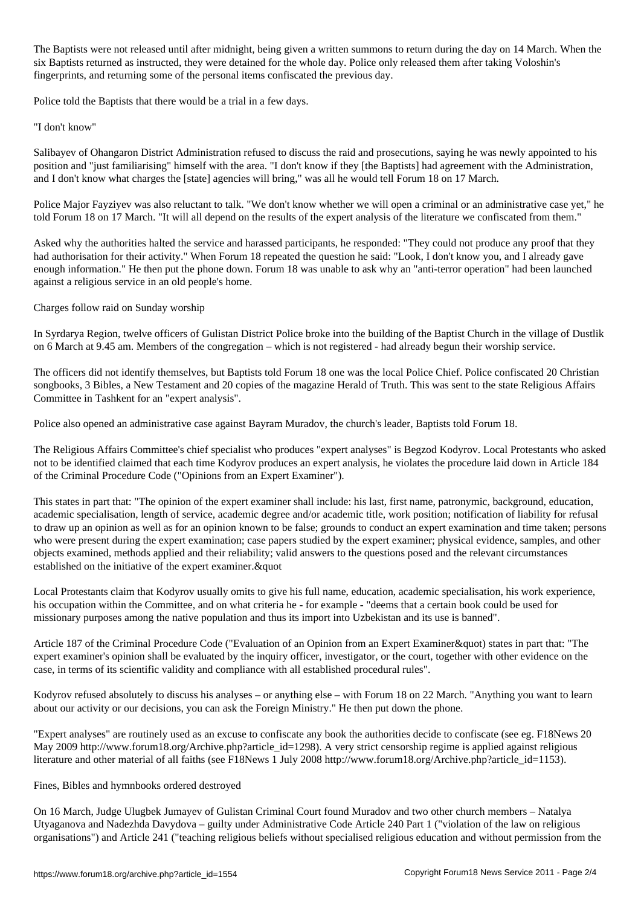The Baptists were not released until after midnight, being given a written summons to return during the day on 14 March. When the six Baptists returned as instructed, they were detained for the whole day. Police only released them after taking Voloshin's fingerprints, and returning some of the personal items confiscated the previous day.

Police told the Baptists that there would be a trial in a few days.

"I don't know"

Salibayev of Ohangaron District Administration refused to discuss the raid and prosecutions, saying he was newly appointed to his position and "just familiarising" himself with the area. "I don't know if they [the Baptists] had agreement with the Administration, and I don't know what charges the [state] agencies will bring," was all he would tell Forum 18 on 17 March.

Police Major Fayziyev was also reluctant to talk. "We don't know whether we will open a criminal or an administrative case yet," he told Forum 18 on 17 March. "It will all depend on the results of the expert analysis of the literature we confiscated from them."

Asked why the authorities halted the service and harassed participants, he responded: "They could not produce any proof that they had authorisation for their activity." When Forum 18 repeated the question he said: "Look, I don't know you, and I already gave enough information." He then put the phone down. Forum 18 was unable to ask why an "anti-terror operation" had been launched against a religious service in an old people's home.

Charges follow raid on Sunday worship

In Syrdarya Region, twelve officers of Gulistan District Police broke into the building of the Baptist Church in the village of Dustlik on 6 March at 9.45 am. Members of the congregation – which is not registered - had already begun their worship service.

The officers did not identify themselves, but Baptists told Forum 18 one was the local Police Chief. Police confiscated 20 Christian songbooks, 3 Bibles, a New Testament and 20 copies of the magazine Herald of Truth. This was sent to the state Religious Affairs Committee in Tashkent for an "expert analysis".

Police also opened an administrative case against Bayram Muradov, the church's leader, Baptists told Forum 18.

The Religious Affairs Committee's chief specialist who produces "expert analyses" is Begzod Kodyrov. Local Protestants who asked not to be identified claimed that each time Kodyrov produces an expert analysis, he violates the procedure laid down in Article 184 of the Criminal Procedure Code ("Opinions from an Expert Examiner").

This states in part that: "The opinion of the expert examiner shall include: his last, first name, patronymic, background, education, academic specialisation, length of service, academic degree and/or academic title, work position; notification of liability for refusal to draw up an opinion as well as for an opinion known to be false; grounds to conduct an expert examination and time taken; persons who were present during the expert examination; case papers studied by the expert examiner; physical evidence, samples, and other objects examined, methods applied and their reliability; valid answers to the questions posed and the relevant circumstances established on the initiative of the expert examiner. $\&$ quot

Local Protestants claim that Kodyrov usually omits to give his full name, education, academic specialisation, his work experience, his occupation within the Committee, and on what criteria he - for example - "deems that a certain book could be used for missionary purposes among the native population and thus its import into Uzbekistan and its use is banned".

Article 187 of the Criminal Procedure Code ("Evaluation of an Opinion from an Expert Examiner&quot) states in part that: "The expert examiner's opinion shall be evaluated by the inquiry officer, investigator, or the court, together with other evidence on the case, in terms of its scientific validity and compliance with all established procedural rules".

Kodyrov refused absolutely to discuss his analyses – or anything else – with Forum 18 on 22 March. "Anything you want to learn about our activity or our decisions, you can ask the Foreign Ministry." He then put down the phone.

"Expert analyses" are routinely used as an excuse to confiscate any book the authorities decide to confiscate (see eg. F18News 20 May 2009 http://www.forum18.org/Archive.php?article\_id=1298). A very strict censorship regime is applied against religious literature and other material of all faiths (see F18News 1 July 2008 http://www.forum18.org/Archive.php?article\_id=1153).

### Fines, Bibles and hymnbooks ordered destroyed

On 16 March, Judge Ulugbek Jumayev of Gulistan Criminal Court found Muradov and two other church members – Natalya Utyaganova and Nadezhda Davydova – guilty under Administrative Code Article 240 Part 1 ("violation of the law on religious organisations") and Article 241 ("teaching religious beliefs without specialised religious education and without permission from the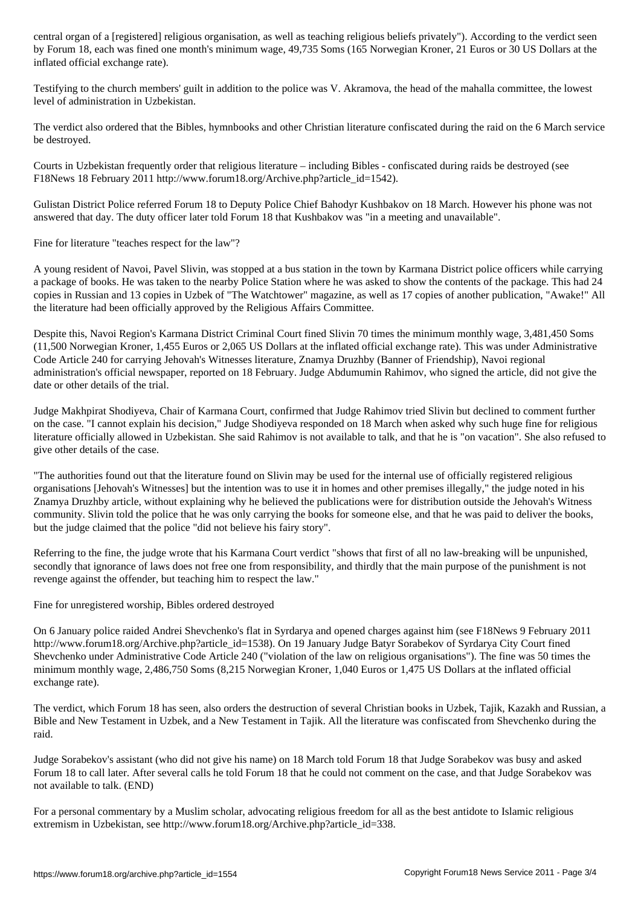by Forum 18, each was fined one month's minimum wage, 49,735 Soms (165 Norwegian Kroner, 21 Euros or 30 US Dollars at the inflated official exchange rate).

Testifying to the church members' guilt in addition to the police was V. Akramova, the head of the mahalla committee, the lowest level of administration in Uzbekistan.

The verdict also ordered that the Bibles, hymnbooks and other Christian literature confiscated during the raid on the 6 March service be destroyed.

Courts in Uzbekistan frequently order that religious literature – including Bibles - confiscated during raids be destroyed (see F18News 18 February 2011 http://www.forum18.org/Archive.php?article\_id=1542).

Gulistan District Police referred Forum 18 to Deputy Police Chief Bahodyr Kushbakov on 18 March. However his phone was not answered that day. The duty officer later told Forum 18 that Kushbakov was "in a meeting and unavailable".

Fine for literature "teaches respect for the law"?

A young resident of Navoi, Pavel Slivin, was stopped at a bus station in the town by Karmana District police officers while carrying a package of books. He was taken to the nearby Police Station where he was asked to show the contents of the package. This had 24 copies in Russian and 13 copies in Uzbek of "The Watchtower" magazine, as well as 17 copies of another publication, "Awake!" All the literature had been officially approved by the Religious Affairs Committee.

Despite this, Navoi Region's Karmana District Criminal Court fined Slivin 70 times the minimum monthly wage, 3,481,450 Soms (11,500 Norwegian Kroner, 1,455 Euros or 2,065 US Dollars at the inflated official exchange rate). This was under Administrative Code Article 240 for carrying Jehovah's Witnesses literature, Znamya Druzhby (Banner of Friendship), Navoi regional administration's official newspaper, reported on 18 February. Judge Abdumumin Rahimov, who signed the article, did not give the date or other details of the trial.

Judge Makhpirat Shodiyeva, Chair of Karmana Court, confirmed that Judge Rahimov tried Slivin but declined to comment further on the case. "I cannot explain his decision," Judge Shodiyeva responded on 18 March when asked why such huge fine for religious literature officially allowed in Uzbekistan. She said Rahimov is not available to talk, and that he is "on vacation". She also refused to give other details of the case.

"The authorities found out that the literature found on Slivin may be used for the internal use of officially registered religious organisations [Jehovah's Witnesses] but the intention was to use it in homes and other premises illegally," the judge noted in his Znamya Druzhby article, without explaining why he believed the publications were for distribution outside the Jehovah's Witness community. Slivin told the police that he was only carrying the books for someone else, and that he was paid to deliver the books, but the judge claimed that the police "did not believe his fairy story".

Referring to the fine, the judge wrote that his Karmana Court verdict "shows that first of all no law-breaking will be unpunished, secondly that ignorance of laws does not free one from responsibility, and thirdly that the main purpose of the punishment is not revenge against the offender, but teaching him to respect the law."

Fine for unregistered worship, Bibles ordered destroyed

On 6 January police raided Andrei Shevchenko's flat in Syrdarya and opened charges against him (see F18News 9 February 2011 http://www.forum18.org/Archive.php?article\_id=1538). On 19 January Judge Batyr Sorabekov of Syrdarya City Court fined Shevchenko under Administrative Code Article 240 ("violation of the law on religious organisations"). The fine was 50 times the minimum monthly wage, 2,486,750 Soms (8,215 Norwegian Kroner, 1,040 Euros or 1,475 US Dollars at the inflated official exchange rate).

The verdict, which Forum 18 has seen, also orders the destruction of several Christian books in Uzbek, Tajik, Kazakh and Russian, a Bible and New Testament in Uzbek, and a New Testament in Tajik. All the literature was confiscated from Shevchenko during the raid.

Judge Sorabekov's assistant (who did not give his name) on 18 March told Forum 18 that Judge Sorabekov was busy and asked Forum 18 to call later. After several calls he told Forum 18 that he could not comment on the case, and that Judge Sorabekov was not available to talk. (END)

For a personal commentary by a Muslim scholar, advocating religious freedom for all as the best antidote to Islamic religious extremism in Uzbekistan, see http://www.forum18.org/Archive.php?article\_id=338.